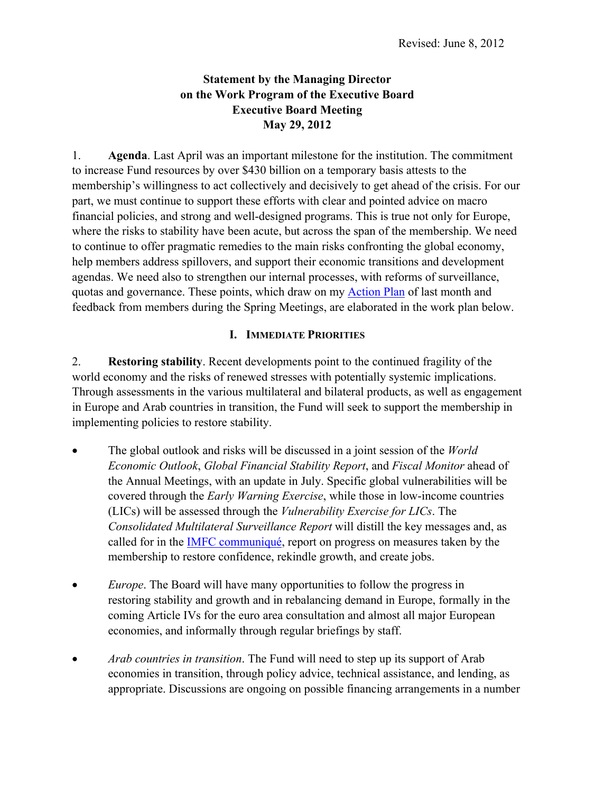# **Statement by the Managing Director on the Work Program of the Executive Board Executive Board Meeting May 29, 2012**

1. **Agenda**. Last April was an important milestone for the institution. The commitment to increase Fund resources by over \$430 billion on a temporary basis attests to the membership's willingness to act collectively and decisively to get ahead of the crisis. For our part, we must continue to support these efforts with clear and pointed advice on macro financial policies, and strong and well-designed programs. This is true not only for Europe, where the risks to stability have been acute, but across the span of the membership. We need to continue to offer pragmatic remedies to the main risks confronting the global economy, help members address spillovers, and support their economic transitions and development agendas. We need also to strengthen our internal processes, with reforms of surveillance, quotas and governance. These points, which draw on m[y Action Plan](http://0-www-imf-org.library.svsu.edu/external/np/pp/eng/2012/041812.pdf) of last month and feedback from members during the Spring Meetings, are elaborated in the work plan below.

# **I. IMMEDIATE PRIORITIES**

2. **Restoring stability**. Recent developments point to the continued fragility of the world economy and the risks of renewed stresses with potentially systemic implications. Through assessments in the various multilateral and bilateral products, as well as engagement in Europe and Arab countries in transition, the Fund will seek to support the membership in implementing policies to restore stability.

- The global outlook and risks will be discussed in a joint session of the *World Economic Outlook*, *Global Financial Stability Report*, and *Fiscal Monitor* ahead of the Annual Meetings, with an update in July. Specific global vulnerabilities will be covered through the *Early Warning Exercise*, while those in low-income countries (LICs) will be assessed through the *Vulnerability Exercise for LICs*. The *Consolidated Multilateral Surveillance Report* will distill the key messages and, as called for in th[e IMFC communiqué,](http://0-www-imf-org.library.svsu.edu/external/np/cm/2012/042112.htm) report on progress on measures taken by the membership to restore confidence, rekindle growth, and create jobs.
- *Europe*. The Board will have many opportunities to follow the progress in restoring stability and growth and in rebalancing demand in Europe, formally in the coming Article IVs for the euro area consultation and almost all major European economies, and informally through regular briefings by staff.
- *Arab countries in transition*. The Fund will need to step up its support of Arab economies in transition, through policy advice, technical assistance, and lending, as appropriate. Discussions are ongoing on possible financing arrangements in a number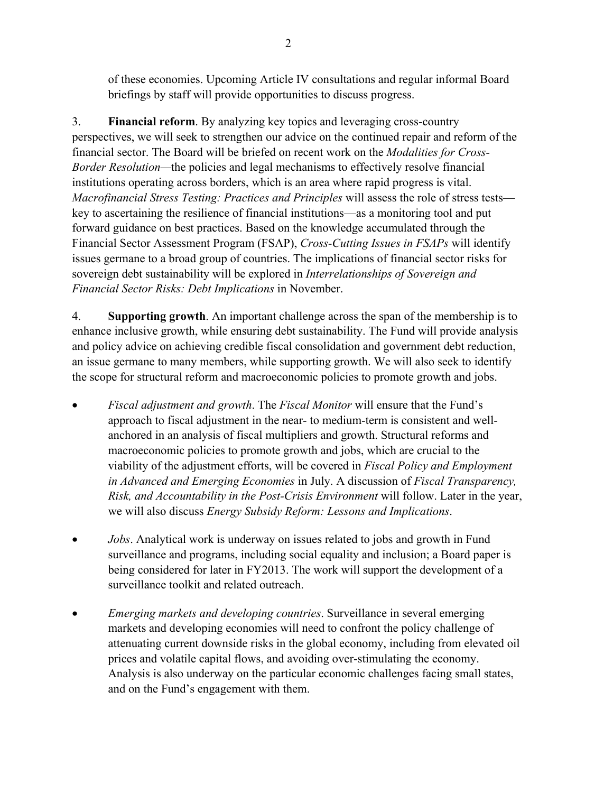of these economies. Upcoming Article IV consultations and regular informal Board briefings by staff will provide opportunities to discuss progress.

3. **Financial reform**. By analyzing key topics and leveraging cross-country perspectives, we will seek to strengthen our advice on the continued repair and reform of the financial sector. The Board will be briefed on recent work on the *Modalities for Cross-Border Resolution—*the policies and legal mechanisms to effectively resolve financial institutions operating across borders, which is an area where rapid progress is vital. *Macrofinancial Stress Testing: Practices and Principles* will assess the role of stress tests key to ascertaining the resilience of financial institutions—as a monitoring tool and put forward guidance on best practices. Based on the knowledge accumulated through the Financial Sector Assessment Program (FSAP), *Cross-Cutting Issues in FSAPs* will identify issues germane to a broad group of countries. The implications of financial sector risks for sovereign debt sustainability will be explored in *Interrelationships of Sovereign and Financial Sector Risks: Debt Implications* in November.

4. **Supporting growth**. An important challenge across the span of the membership is to enhance inclusive growth, while ensuring debt sustainability. The Fund will provide analysis and policy advice on achieving credible fiscal consolidation and government debt reduction, an issue germane to many members, while supporting growth. We will also seek to identify the scope for structural reform and macroeconomic policies to promote growth and jobs.

- *Fiscal adjustment and growth*. The *Fiscal Monitor* will ensure that the Fund's approach to fiscal adjustment in the near- to medium-term is consistent and wellanchored in an analysis of fiscal multipliers and growth. Structural reforms and macroeconomic policies to promote growth and jobs, which are crucial to the viability of the adjustment efforts, will be covered in *Fiscal Policy and Employment in Advanced and Emerging Economies* in July. A discussion of *Fiscal Transparency, Risk, and Accountability in the Post-Crisis Environment* will follow. Later in the year, we will also discuss *Energy Subsidy Reform: Lessons and Implications*.
- *Jobs*. Analytical work is underway on issues related to jobs and growth in Fund surveillance and programs, including social equality and inclusion; a Board paper is being considered for later in FY2013. The work will support the development of a surveillance toolkit and related outreach.
- *Emerging markets and developing countries*. Surveillance in several emerging markets and developing economies will need to confront the policy challenge of attenuating current downside risks in the global economy, including from elevated oil prices and volatile capital flows, and avoiding over-stimulating the economy. Analysis is also underway on the particular economic challenges facing small states, and on the Fund's engagement with them.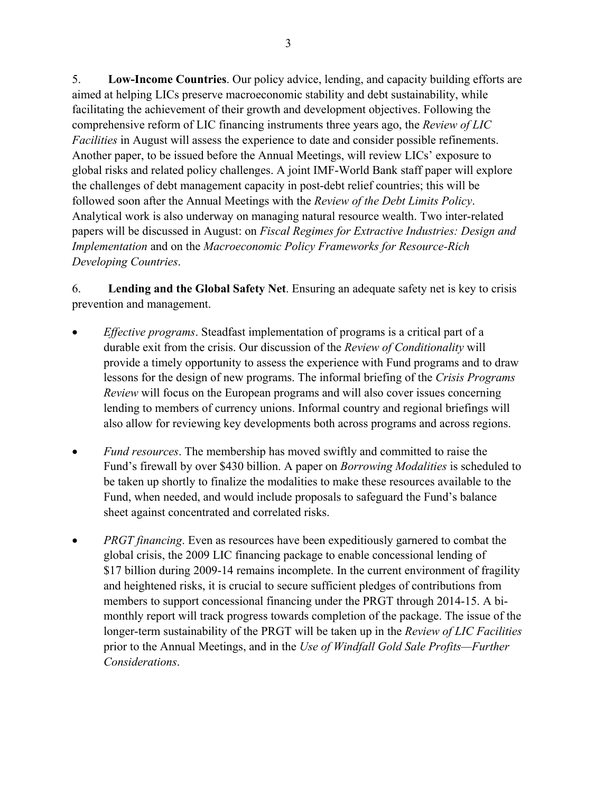5. **Low-Income Countries**. Our policy advice, lending, and capacity building efforts are aimed at helping LICs preserve macroeconomic stability and debt sustainability, while facilitating the achievement of their growth and development objectives. Following the comprehensive reform of LIC financing instruments three years ago, the *Review of LIC Facilities* in August will assess the experience to date and consider possible refinements. Another paper, to be issued before the Annual Meetings, will review LICs' exposure to global risks and related policy challenges. A joint IMF-World Bank staff paper will explore the challenges of debt management capacity in post-debt relief countries; this will be followed soon after the Annual Meetings with the *Review of the Debt Limits Policy*. Analytical work is also underway on managing natural resource wealth. Two inter-related papers will be discussed in August: on *Fiscal Regimes for Extractive Industries: Design and Implementation* and on the *Macroeconomic Policy Frameworks for Resource-Rich Developing Countries*.

6. **Lending and the Global Safety Net**. Ensuring an adequate safety net is key to crisis prevention and management.

- *Effective programs*. Steadfast implementation of programs is a critical part of a durable exit from the crisis. Our discussion of the *Review of Conditionality* will provide a timely opportunity to assess the experience with Fund programs and to draw lessons for the design of new programs. The informal briefing of the *Crisis Programs Review* will focus on the European programs and will also cover issues concerning lending to members of currency unions. Informal country and regional briefings will also allow for reviewing key developments both across programs and across regions.
- *Fund resources*. The membership has moved swiftly and committed to raise the Fund's firewall by over \$430 billion. A paper on *Borrowing Modalities* is scheduled to be taken up shortly to finalize the modalities to make these resources available to the Fund, when needed, and would include proposals to safeguard the Fund's balance sheet against concentrated and correlated risks.
- *PRGT financing*. Even as resources have been expeditiously garnered to combat the global crisis, the 2009 LIC financing package to enable concessional lending of \$17 billion during 2009-14 remains incomplete. In the current environment of fragility and heightened risks, it is crucial to secure sufficient pledges of contributions from members to support concessional financing under the PRGT through 2014-15. A bimonthly report will track progress towards completion of the package. The issue of the longer-term sustainability of the PRGT will be taken up in the *Review of LIC Facilities*  prior to the Annual Meetings, and in the *Use of Windfall Gold Sale Profits—Further Considerations*.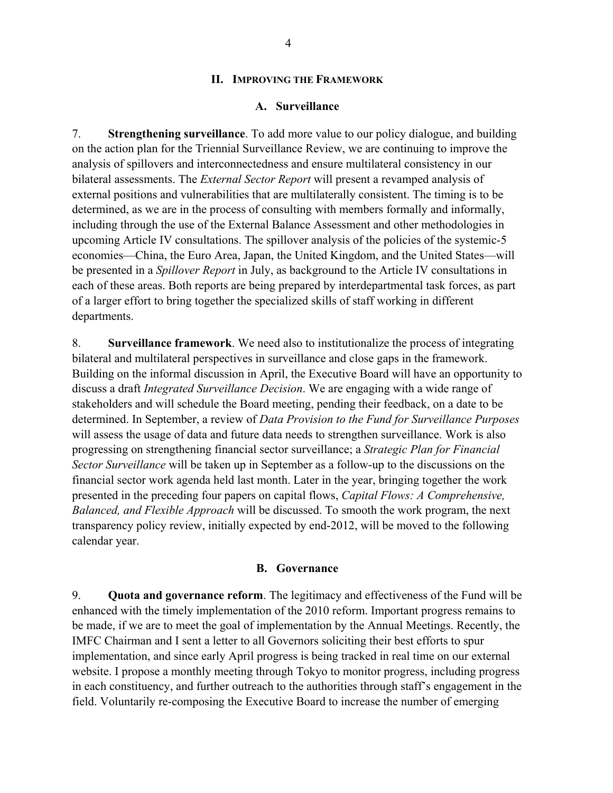### **II. IMPROVING THE FRAMEWORK**

### **A. Surveillance**

7. **Strengthening surveillance**. To add more value to our policy dialogue, and building on the action plan for the Triennial Surveillance Review, we are continuing to improve the analysis of spillovers and interconnectedness and ensure multilateral consistency in our bilateral assessments. The *External Sector Report* will present a revamped analysis of external positions and vulnerabilities that are multilaterally consistent. The timing is to be determined, as we are in the process of consulting with members formally and informally, including through the use of the External Balance Assessment and other methodologies in upcoming Article IV consultations. The spillover analysis of the policies of the systemic-5 economies—China, the Euro Area, Japan, the United Kingdom, and the United States—will be presented in a *Spillover Report* in July, as background to the Article IV consultations in each of these areas. Both reports are being prepared by interdepartmental task forces, as part of a larger effort to bring together the specialized skills of staff working in different departments.

8. **Surveillance framework**. We need also to institutionalize the process of integrating bilateral and multilateral perspectives in surveillance and close gaps in the framework. Building on the informal discussion in April, the Executive Board will have an opportunity to discuss a draft *Integrated Surveillance Decision*. We are engaging with a wide range of stakeholders and will schedule the Board meeting, pending their feedback, on a date to be determined. In September, a review of *Data Provision to the Fund for Surveillance Purposes*  will assess the usage of data and future data needs to strengthen surveillance. Work is also progressing on strengthening financial sector surveillance; a *Strategic Plan for Financial Sector Surveillance* will be taken up in September as a follow-up to the discussions on the financial sector work agenda held last month. Later in the year, bringing together the work presented in the preceding four papers on capital flows, *Capital Flows: A Comprehensive, Balanced, and Flexible Approach* will be discussed. To smooth the work program, the next transparency policy review, initially expected by end-2012, will be moved to the following calendar year.

#### **B. Governance**

9. **Quota and governance reform**. The legitimacy and effectiveness of the Fund will be enhanced with the timely implementation of the 2010 reform. Important progress remains to be made, if we are to meet the goal of implementation by the Annual Meetings. Recently, the IMFC Chairman and I sent a letter to all Governors soliciting their best efforts to spur implementation, and since early April progress is being tracked in real time on our external website. I propose a monthly meeting through Tokyo to monitor progress, including progress in each constituency, and further outreach to the authorities through staff's engagement in the field. Voluntarily re-composing the Executive Board to increase the number of emerging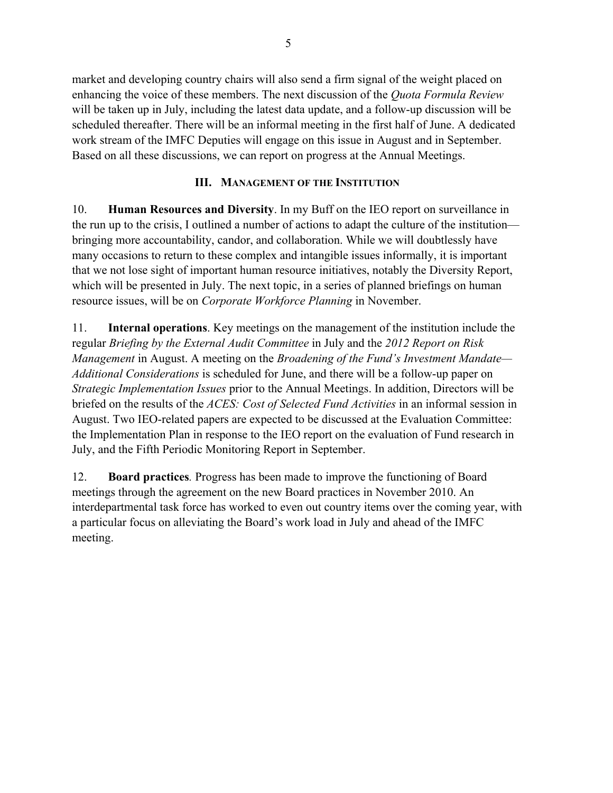market and developing country chairs will also send a firm signal of the weight placed on enhancing the voice of these members. The next discussion of the *Quota Formula Review* will be taken up in July, including the latest data update, and a follow-up discussion will be scheduled thereafter. There will be an informal meeting in the first half of June. A dedicated work stream of the IMFC Deputies will engage on this issue in August and in September. Based on all these discussions, we can report on progress at the Annual Meetings.

### **III. MANAGEMENT OF THE INSTITUTION**

10. **Human Resources and Diversity**. In my Buff on the IEO report on surveillance in the run up to the crisis, I outlined a number of actions to adapt the culture of the institution bringing more accountability, candor, and collaboration. While we will doubtlessly have many occasions to return to these complex and intangible issues informally, it is important that we not lose sight of important human resource initiatives, notably the Diversity Report, which will be presented in July. The next topic, in a series of planned briefings on human resource issues, will be on *Corporate Workforce Planning* in November.

11. **Internal operations**. Key meetings on the management of the institution include the regular *Briefing by the External Audit Committee* in July and the *2012 Report on Risk Management* in August. A meeting on the *Broadening of the Fund's Investment Mandate— Additional Considerations* is scheduled for June, and there will be a follow-up paper on *Strategic Implementation Issues* prior to the Annual Meetings. In addition, Directors will be briefed on the results of the *ACES: Cost of Selected Fund Activities* in an informal session in August. Two IEO-related papers are expected to be discussed at the Evaluation Committee: the Implementation Plan in response to the IEO report on the evaluation of Fund research in July, and the Fifth Periodic Monitoring Report in September.

12. **Board practices***.* Progress has been made to improve the functioning of Board meetings through the agreement on the new Board practices in November 2010. An interdepartmental task force has worked to even out country items over the coming year, with a particular focus on alleviating the Board's work load in July and ahead of the IMFC meeting.